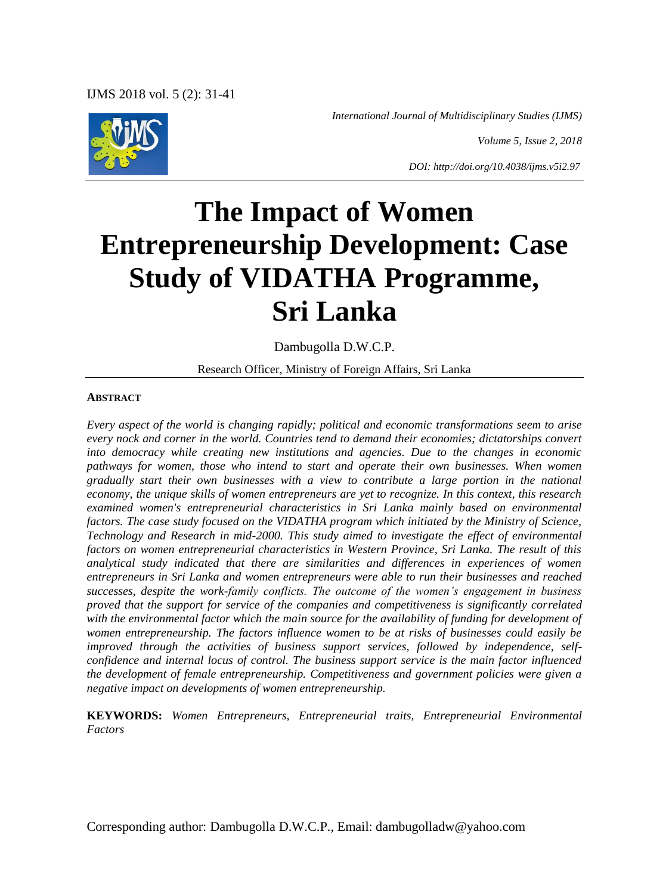*International Journal of Multidisciplinary Studies (IJMS)*

*Volume 5, Issue 2, 2018*

*DOI: http://doi.org/10.4038/ijms.v5i2.97*

# **The Impact of Women Entrepreneurship Development: Case Study of VIDATHA Programme, Sri Lanka**

Dambugolla D.W.C.P.

Research Officer, Ministry of Foreign Affairs, Sri Lanka

#### **ABSTRACT**

*Every aspect of the world is changing rapidly; political and economic transformations seem to arise every nock and corner in the world. Countries tend to demand their economies; dictatorships convert into democracy while creating new institutions and agencies. Due to the changes in economic pathways for women, those who intend to start and operate their own businesses. When women gradually start their own businesses with a view to contribute a large portion in the national economy, the unique skills of women entrepreneurs are yet to recognize. In this context, this research examined women's entrepreneurial characteristics in Sri Lanka mainly based on environmental factors. The case study focused on the VIDATHA program which initiated by the Ministry of Science, Technology and Research in mid-2000. This study aimed to investigate the effect of environmental factors on women entrepreneurial characteristics in Western Province, Sri Lanka. The result of this analytical study indicated that there are similarities and differences in experiences of women entrepreneurs in Sri Lanka and women entrepreneurs were able to run their businesses and reached successes, despite the work-family conflicts. The outcome of the women's engagement in business proved that the support for service of the companies and competitiveness is significantly correlated*  with the environmental factor which the main source for the availability of funding for development of *women entrepreneurship. The factors influence women to be at risks of businesses could easily be improved through the activities of business support services, followed by independence, selfconfidence and internal locus of control. The business support service is the main factor influenced the development of female entrepreneurship. Competitiveness and government policies were given a negative impact on developments of women entrepreneurship.*

**KEYWORDS:** *Women Entrepreneurs, Entrepreneurial traits, Entrepreneurial Environmental Factors*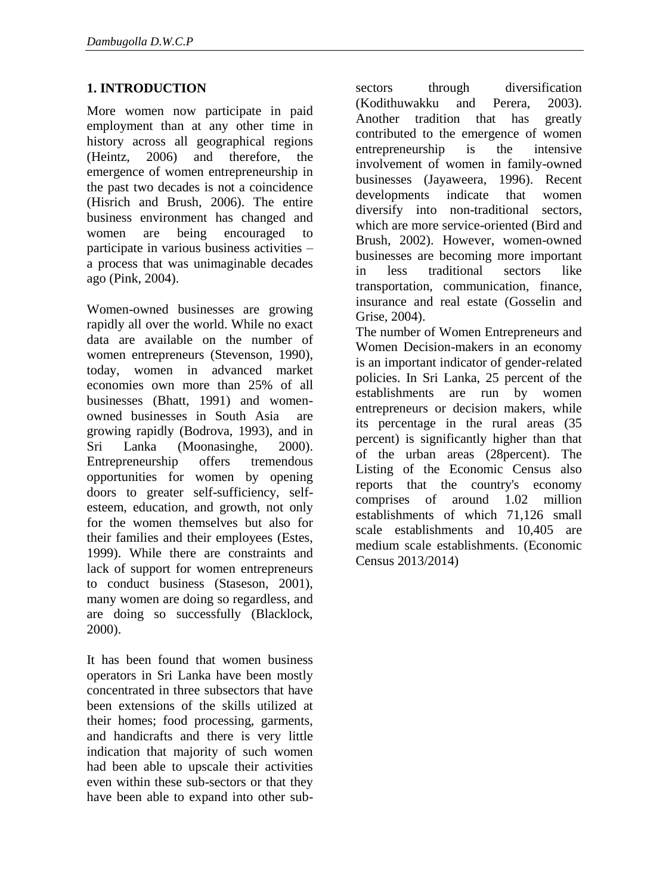## **1. INTRODUCTION**

More women now participate in paid employment than at any other time in history across all geographical regions (Heintz, 2006) and therefore, the emergence of women entrepreneurship in the past two decades is not a coincidence (Hisrich and Brush, 2006). The entire business environment has changed and women are being encouraged to participate in various business activities – a process that was unimaginable decades ago (Pink, 2004).

Women-owned businesses are growing rapidly all over the world. While no exact data are available on the number of women entrepreneurs (Stevenson, 1990), today, women in advanced market economies own more than 25% of all businesses (Bhatt, 1991) and womenowned businesses in South Asia are growing rapidly (Bodrova, 1993), and in Sri Lanka (Moonasinghe, 2000). Entrepreneurship offers tremendous opportunities for women by opening doors to greater self-sufficiency, selfesteem, education, and growth, not only for the women themselves but also for their families and their employees (Estes, 1999). While there are constraints and lack of support for women entrepreneurs to conduct business (Staseson, 2001), many women are doing so regardless, and are doing so successfully (Blacklock, 2000).

It has been found that women business operators in Sri Lanka have been mostly concentrated in three subsectors that have been extensions of the skills utilized at their homes; food processing, garments, and handicrafts and there is very little indication that majority of such women had been able to upscale their activities even within these sub-sectors or that they have been able to expand into other subsectors through diversification (Kodithuwakku and Perera, 2003). Another tradition that has greatly contributed to the emergence of women entrepreneurship is the intensive involvement of women in family-owned businesses (Jayaweera, 1996). Recent developments indicate that women diversify into non-traditional sectors, which are more service-oriented (Bird and Brush, 2002). However, women-owned businesses are becoming more important in less traditional sectors like transportation, communication, finance, insurance and real estate (Gosselin and Grise, 2004).

The number of Women Entrepreneurs and Women Decision-makers in an economy is an important indicator of gender-related policies. In Sri Lanka, 25 percent of the establishments are run by women entrepreneurs or decision makers, while its percentage in the rural areas (35 percent) is significantly higher than that of the urban areas (28percent). The Listing of the Economic Census also reports that the country's economy comprises of around 1.02 million establishments of which 71,126 small scale establishments and 10,405 are medium scale establishments. (Economic Census 2013/2014)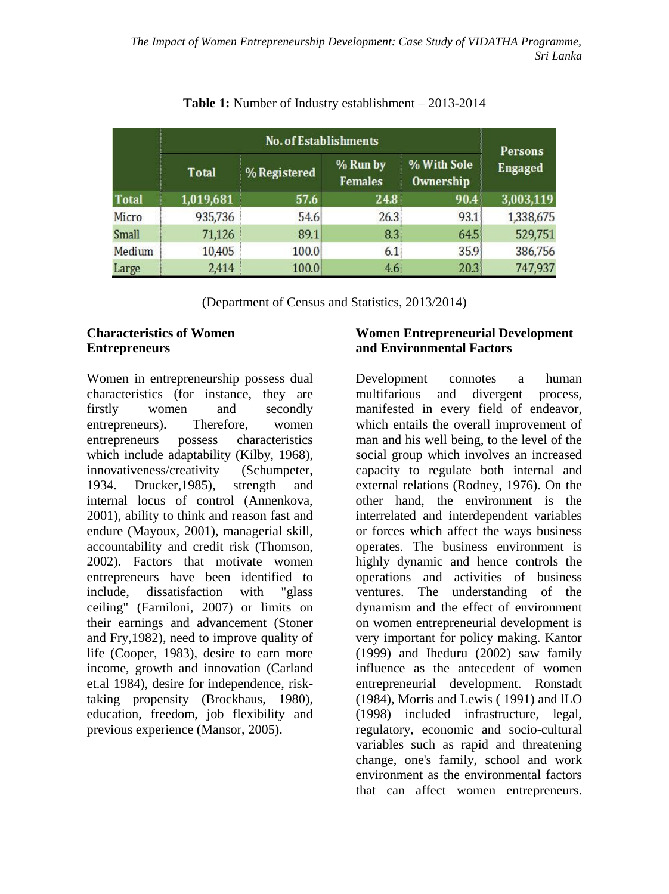|              | <b>No. of Establishments</b> |              |                            |                                 |                    |  |
|--------------|------------------------------|--------------|----------------------------|---------------------------------|--------------------|--|
|              | <b>Total</b>                 | % Registered | % Run by<br><b>Females</b> | % With Sole<br><b>Ownership</b> | Persons<br>Engaged |  |
| Total        | 1,019,681                    | 57.6         | 24.8                       | 90.4                            | 3,003,119          |  |
| Micro        | 935,736                      | 54.6         | 26.3                       | 93.1                            | 1,338,675          |  |
| <b>Small</b> | 71,126                       | 89.1         | 8.3 <sup>3</sup>           | 64.5                            | 529,751            |  |
| Medium       | 10,405                       | 100.0        | 6.1                        | 35.9                            | 386,756            |  |
| Large        | 2,414                        | 100.0        | 4.6 <sub>1</sub>           | 20.3                            | 747,937            |  |

# **Table 1:** Number of Industry establishment – 2013-2014

(Department of Census and Statistics, 2013/2014)

### **Characteristics of Women Entrepreneurs**

Women in entrepreneurship possess dual characteristics (for instance, they are firstly women and secondly entrepreneurs). Therefore, women entrepreneurs possess characteristics which include adaptability (Kilby, 1968), innovativeness/creativity (Schumpeter, 1934. Drucker,1985), strength and internal locus of control (Annenkova, 2001), ability to think and reason fast and endure (Mayoux, 2001), managerial skill, accountability and credit risk (Thomson, 2002). Factors that motivate women entrepreneurs have been identified to include, dissatisfaction with "glass ceiling" (Farniloni, 2007) or limits on their earnings and advancement (Stoner and Fry,1982), need to improve quality of life (Cooper, 1983), desire to earn more income, growth and innovation (Carland et.al 1984), desire for independence, risktaking propensity (Brockhaus, 1980), education, freedom, job flexibility and previous experience (Mansor, 2005).

## **Women Entrepreneurial Development and Environmental Factors**

Development connotes a human multifarious and divergent process, manifested in every field of endeavor, which entails the overall improvement of man and his well being, to the level of the social group which involves an increased capacity to regulate both internal and external relations (Rodney, 1976). On the other hand, the environment is the interrelated and interdependent variables or forces which affect the ways business operates. The business environment is highly dynamic and hence controls the operations and activities of business ventures. The understanding of the dynamism and the effect of environment on women entrepreneurial development is very important for policy making. Kantor (1999) and Iheduru (2002) saw family influence as the antecedent of women entrepreneurial development. Ronstadt (1984), Morris and Lewis ( 1991) and lLO (1998) included infrastructure, legal, regulatory, economic and socio-cultural variables such as rapid and threatening change, one's family, school and work environment as the environmental factors that can affect women entrepreneurs.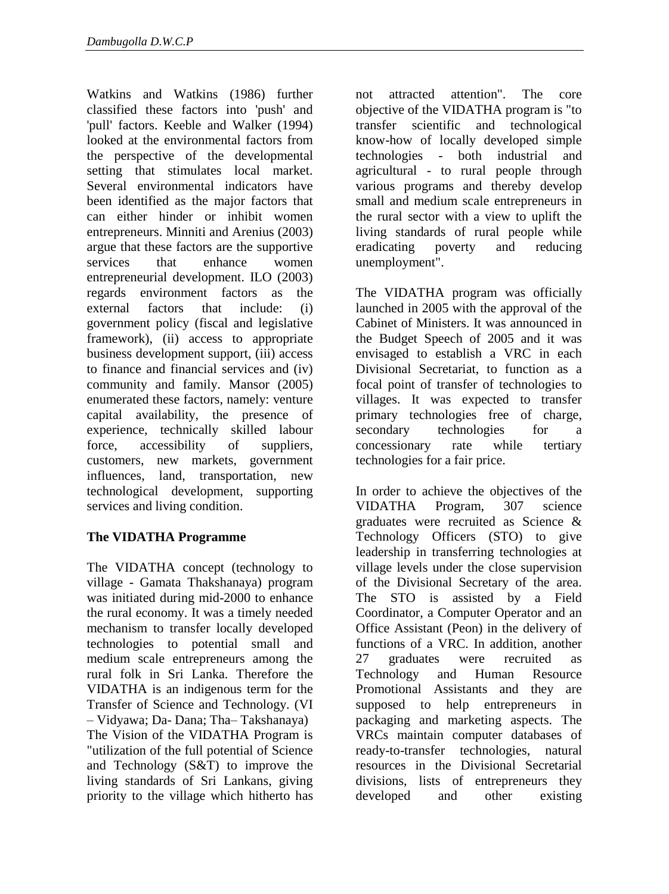Watkins and Watkins (1986) further classified these factors into 'push' and 'pull' factors. Keeble and Walker (1994) looked at the environmental factors from the perspective of the developmental setting that stimulates local market. Several environmental indicators have been identified as the major factors that can either hinder or inhibit women entrepreneurs. Minniti and Arenius (2003) argue that these factors are the supportive services that enhance women entrepreneurial development. ILO (2003) regards environment factors as the external factors that include: (i) government policy (fiscal and legislative framework), (ii) access to appropriate business development support, (iii) access to finance and financial services and (iv) community and family. Mansor (2005) enumerated these factors, namely: venture capital availability, the presence of experience, technically skilled labour force, accessibility of suppliers, customers, new markets, government influences, land, transportation, new technological development, supporting services and living condition.

# **The VIDATHA Programme**

The VIDATHA concept (technology to village - Gamata Thakshanaya) program was initiated during mid-2000 to enhance the rural economy. It was a timely needed mechanism to transfer locally developed technologies to potential small and medium scale entrepreneurs among the rural folk in Sri Lanka. Therefore the VIDATHA is an indigenous term for the Transfer of Science and Technology. (VI – Vidyawa; Da- Dana; Tha– Takshanaya) The Vision of the VIDATHA Program is "utilization of the full potential of Science and Technology (S&T) to improve the living standards of Sri Lankans, giving priority to the village which hitherto has

not attracted attention". The core objective of the VIDATHA program is "to transfer scientific and technological know-how of locally developed simple technologies - both industrial and agricultural - to rural people through various programs and thereby develop small and medium scale entrepreneurs in the rural sector with a view to uplift the living standards of rural people while eradicating poverty and reducing unemployment".

The VIDATHA program was officially launched in 2005 with the approval of the Cabinet of Ministers. It was announced in the Budget Speech of 2005 and it was envisaged to establish a VRC in each Divisional Secretariat, to function as a focal point of transfer of technologies to villages. It was expected to transfer primary technologies free of charge, secondary technologies for a concessionary rate while tertiary technologies for a fair price.

In order to achieve the objectives of the VIDATHA Program, 307 science graduates were recruited as Science & Technology Officers (STO) to give leadership in transferring technologies at village levels under the close supervision of the Divisional Secretary of the area. The STO is assisted by a Field Coordinator, a Computer Operator and an Office Assistant (Peon) in the delivery of functions of a VRC. In addition, another 27 graduates were recruited as Technology and Human Resource Promotional Assistants and they are supposed to help entrepreneurs in packaging and marketing aspects. The VRCs maintain computer databases of ready-to-transfer technologies, natural resources in the Divisional Secretarial divisions, lists of entrepreneurs they developed and other existing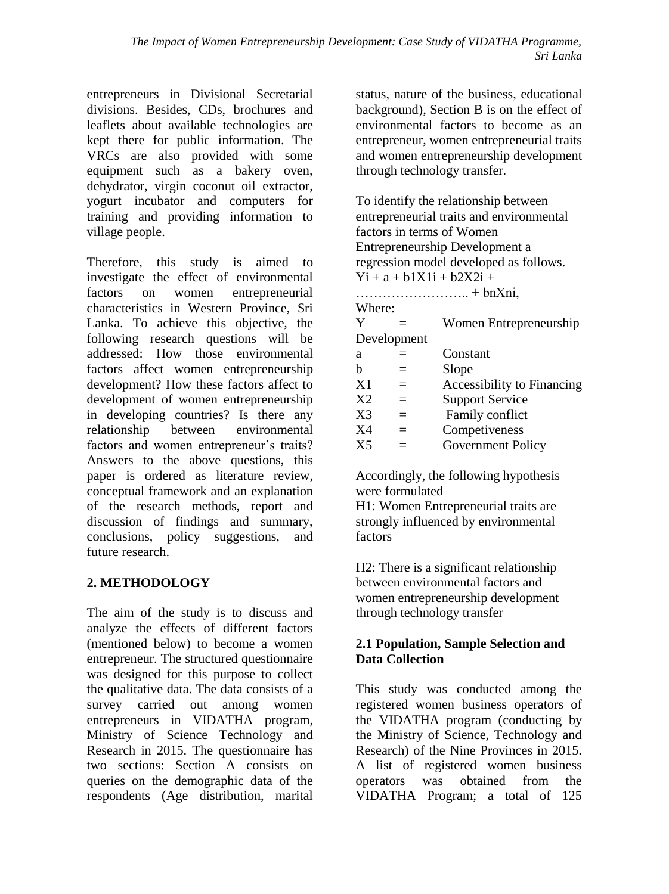entrepreneurs in Divisional Secretarial divisions. Besides, CDs, brochures and leaflets about available technologies are kept there for public information. The VRCs are also provided with some equipment such as a bakery oven, dehydrator, virgin coconut oil extractor, yogurt incubator and computers for training and providing information to village people.

Therefore, this study is aimed to investigate the effect of environmental factors on women entrepreneurial characteristics in Western Province, Sri Lanka. To achieve this objective, the following research questions will be addressed: How those environmental factors affect women entrepreneurship development? How these factors affect to development of women entrepreneurship in developing countries? Is there any relationship between environmental factors and women entrepreneur's traits? Answers to the above questions, this paper is ordered as literature review, conceptual framework and an explanation of the research methods, report and discussion of findings and summary, conclusions, policy suggestions, and future research.

# **2. METHODOLOGY**

The aim of the study is to discuss and analyze the effects of different factors (mentioned below) to become a women entrepreneur. The structured questionnaire was designed for this purpose to collect the qualitative data. The data consists of a survey carried out among women entrepreneurs in VIDATHA program, Ministry of Science Technology and Research in 2015. The questionnaire has two sections: Section A consists on queries on the demographic data of the respondents (Age distribution, marital

status, nature of the business, educational background), Section B is on the effect of environmental factors to become as an entrepreneur, women entrepreneurial traits and women entrepreneurship development through technology transfer.

To identify the relationship between entrepreneurial traits and environmental factors in terms of Women Entrepreneurship Development a regression model developed as follows.  $Y_1 + a + b1X1i + b2X2i +$ …………………….. + bnXni, Where:  $Y =$  Women Entrepreneurship Development  $a =$  Constant  $b =$ Slope  $X1 =$  Accessibility to Financing  $X2 =$  Support Service  $X3 =$  Family conflict  $X4 =$  Competiveness  $X5 =$  Government Policy

Accordingly, the following hypothesis were formulated

H1: Women Entrepreneurial traits are strongly influenced by environmental factors

H2: There is a significant relationship between environmental factors and women entrepreneurship development through technology transfer

# **2.1 Population, Sample Selection and Data Collection**

This study was conducted among the registered women business operators of the VIDATHA program (conducting by the Ministry of Science, Technology and Research) of the Nine Provinces in 2015. A list of registered women business operators was obtained from the VIDATHA Program; a total of 125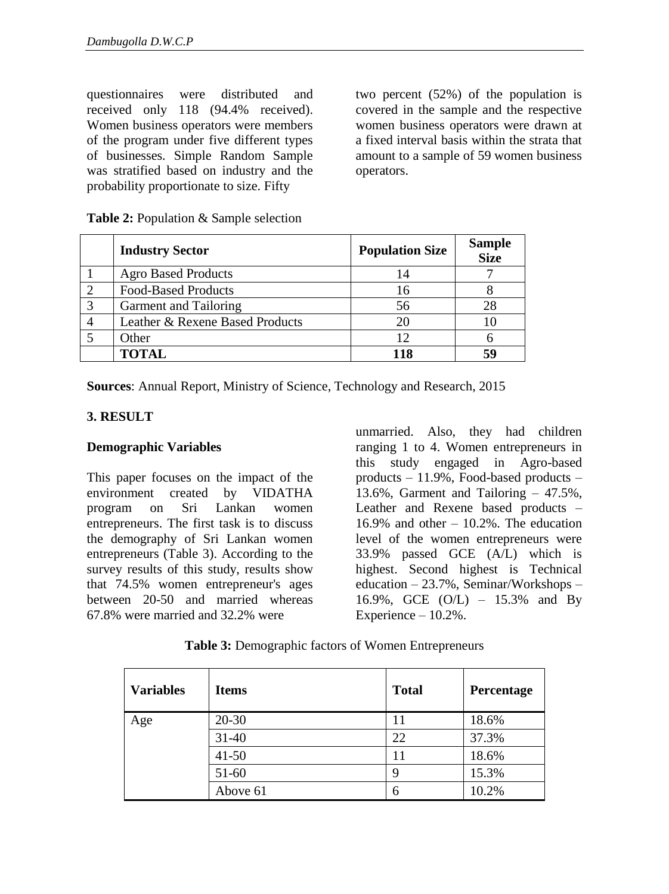questionnaires were distributed and received only 118 (94.4% received). Women business operators were members of the program under five different types of businesses. Simple Random Sample was stratified based on industry and the probability proportionate to size. Fifty

two percent (52%) of the population is covered in the sample and the respective women business operators were drawn at a fixed interval basis within the strata that amount to a sample of 59 women business operators.

|   | <b>Industry Sector</b>          | <b>Population Size</b> | <b>Sample</b><br><b>Size</b> |
|---|---------------------------------|------------------------|------------------------------|
|   | <b>Agro Based Products</b>      | 14                     |                              |
|   | <b>Food-Based Products</b>      | 16                     |                              |
| っ | Garment and Tailoring           | 56                     | 28                           |
|   | Leather & Rexene Based Products | 20                     |                              |
|   | Other                           | 12                     |                              |
|   | <b>TOTAL</b>                    | 118                    |                              |

**Table 2:** Population & Sample selection

**Sources**: Annual Report, Ministry of Science, Technology and Research, 2015

## **3. RESULT**

#### **Demographic Variables**

This paper focuses on the impact of the environment created by VIDATHA program on Sri Lankan women entrepreneurs. The first task is to discuss the demography of Sri Lankan women entrepreneurs (Table 3). According to the survey results of this study, results show that 74.5% women entrepreneur's ages between 20-50 and married whereas 67.8% were married and 32.2% were

unmarried. Also, they had children ranging 1 to 4. Women entrepreneurs in this study engaged in Agro-based products – 11.9%, Food-based products – 13.6%, Garment and Tailoring – 47.5%, Leather and Rexene based products – 16.9% and other  $-10.2$ %. The education level of the women entrepreneurs were 33.9% passed GCE (A/L) which is highest. Second highest is Technical education – 23.7%, Seminar/Workshops – 16.9%, GCE (O/L) – 15.3% and By Experience – 10.2%.

| <b>Variables</b> | <b>Items</b> | <b>Total</b> | Percentage |
|------------------|--------------|--------------|------------|
| Age              | $20 - 30$    |              | 18.6%      |
|                  | 31-40        | 22           | 37.3%      |
|                  | $41 - 50$    | 11           | 18.6%      |
|                  | 51-60        | g            | 15.3%      |
|                  | Above 61     | 6            | 10.2%      |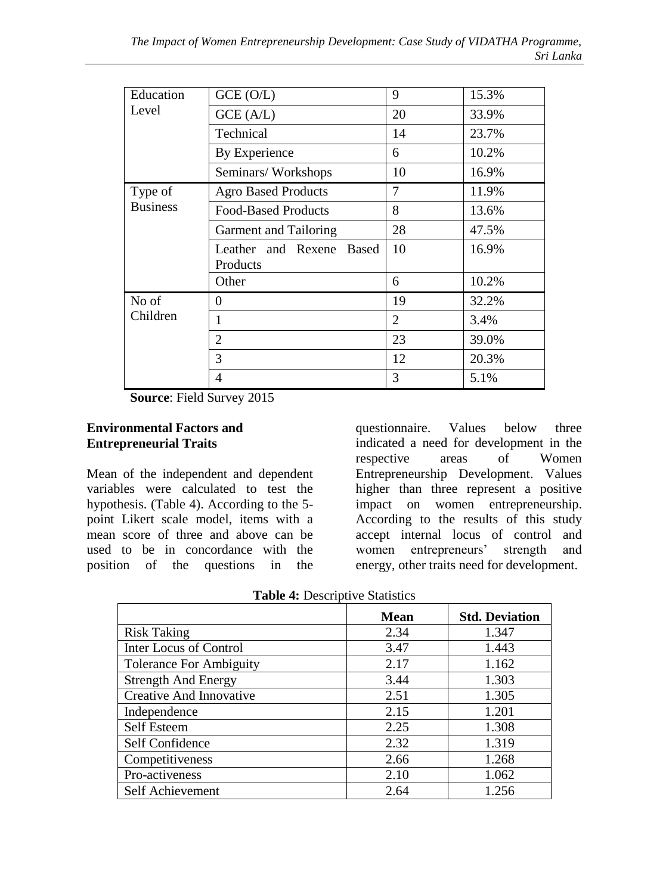| Education       | GCE(O/L)                                       | 9              | 15.3% |
|-----------------|------------------------------------------------|----------------|-------|
| Level           | GCE (A/L)                                      | 20             | 33.9% |
|                 | Technical                                      | 14             | 23.7% |
|                 | By Experience                                  | 6              | 10.2% |
|                 | Seminars/Workshops                             | 10             | 16.9% |
| Type of         | <b>Agro Based Products</b>                     | 7              | 11.9% |
| <b>Business</b> | <b>Food-Based Products</b>                     | 8              | 13.6% |
|                 | Garment and Tailoring                          | 28             | 47.5% |
|                 | Leather and Rexene<br><b>Based</b><br>Products | 10             | 16.9% |
|                 | Other                                          | 6              | 10.2% |
| No of           | $\Omega$                                       | 19             | 32.2% |
| Children        | 1                                              | $\overline{2}$ | 3.4%  |
|                 | $\overline{2}$                                 | 23             | 39.0% |
|                 | 3                                              | 12             | 20.3% |
|                 | 4                                              | 3              | 5.1%  |

**Source**: Field Survey 2015

#### **Environmental Factors and Entrepreneurial Traits**

Mean of the independent and dependent variables were calculated to test the hypothesis. (Table 4). According to the 5 point Likert scale model, items with a mean score of three and above can be used to be in concordance with the position of the questions in the questionnaire. Values below three indicated a need for development in the respective areas of Women Entrepreneurship Development. Values higher than three represent a positive impact on women entrepreneurship. According to the results of this study accept internal locus of control and women entrepreneurs' strength and energy, other traits need for development.

|                                | <b>Mean</b> | <b>Std. Deviation</b> |
|--------------------------------|-------------|-----------------------|
| <b>Risk Taking</b>             | 2.34        | 1.347                 |
| Inter Locus of Control         | 3.47        | 1.443                 |
| <b>Tolerance For Ambiguity</b> | 2.17        | 1.162                 |
| <b>Strength And Energy</b>     | 3.44        | 1.303                 |
| Creative And Innovative        | 2.51        | 1.305                 |
| Independence                   | 2.15        | 1.201                 |
| Self Esteem                    | 2.25        | 1.308                 |
| Self Confidence                | 2.32        | 1.319                 |
| Competitiveness                | 2.66        | 1.268                 |
| Pro-activeness                 | 2.10        | 1.062                 |
| Self Achievement               | 2.64        | 1.256                 |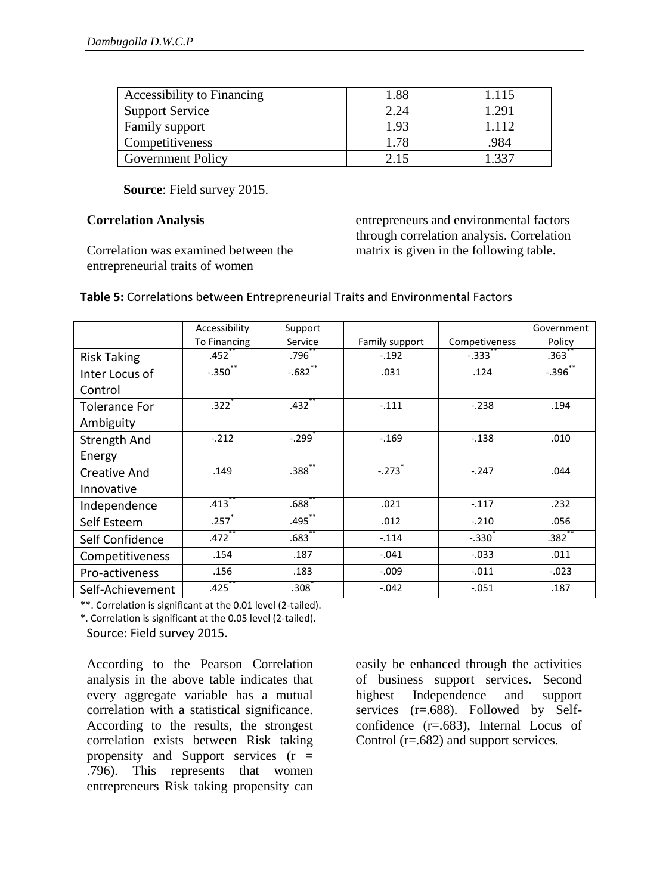| Accessibility to Financing | l.88 | 1.115 |
|----------------------------|------|-------|
| <b>Support Service</b>     | 2.24 | .291  |
| Family support             | 1.93 |       |
| Competitiveness            | ' 78 | .984  |
| <b>Government Policy</b>   |      |       |

**Source**: Field survey 2015.

#### **Correlation Analysis**

Correlation was examined between the entrepreneurial traits of women

entrepreneurs and environmental factors through correlation analysis. Correlation matrix is given in the following table.

#### **Table 5:** Correlations between Entrepreneurial Traits and Environmental Factors

|                      | Accessibility        | Support              |                |               | Government          |
|----------------------|----------------------|----------------------|----------------|---------------|---------------------|
|                      | <b>To Financing</b>  | Service              | Family support | Competiveness | Policy              |
| <b>Risk Taking</b>   | .452                 | .796 <sup>2</sup>    | $-.192$        | $-.333$       | .363                |
| Inter Locus of       | $-.350$              | $-.682$              | .031           | .124          | $-.396$             |
| Control              |                      |                      |                |               |                     |
| <b>Tolerance For</b> | $.322+$              | $.432$ <sup>*</sup>  | $-.111$        | $-.238$       | .194                |
| Ambiguity            |                      |                      |                |               |                     |
| <b>Strength And</b>  | $-.212$              | $-.299$ <sup>*</sup> | $-.169$        | $-.138$       | .010                |
| Energy               |                      |                      |                |               |                     |
| Creative And         | .149                 | .388 <sup>°</sup>    | $-.273$        | $-.247$       | .044                |
| Innovative           |                      |                      |                |               |                     |
| Independence         | $.413$ <sup>**</sup> | $.688^{\degree}$     | .021           | $-.117$       | .232                |
| Self Esteem          | .257                 | $.495$ <sup>**</sup> | .012           | $-.210$       | .056                |
| Self Confidence      | .472                 | $.683$ <sup>**</sup> | $-.114$        | $-.330$       | $.382$ <sup>*</sup> |
| Competitiveness      | .154                 | .187                 | $-.041$        | $-.033$       | .011                |
| Pro-activeness       | .156                 | .183                 | $-.009$        | $-.011$       | $-.023$             |
| Self-Achievement     | .425                 | .308 <sup>°</sup>    | $-.042$        | $-.051$       | .187                |

\*\*. Correlation is significant at the 0.01 level (2-tailed).

\*. Correlation is significant at the 0.05 level (2-tailed).

Source: Field survey 2015.

According to the Pearson Correlation analysis in the above table indicates that every aggregate variable has a mutual correlation with a statistical significance. According to the results, the strongest correlation exists between Risk taking propensity and Support services  $(r =$ .796). This represents that women entrepreneurs Risk taking propensity can

easily be enhanced through the activities of business support services. Second highest Independence and support services (r=.688). Followed by Selfconfidence (r=.683), Internal Locus of Control (r=.682) and support services.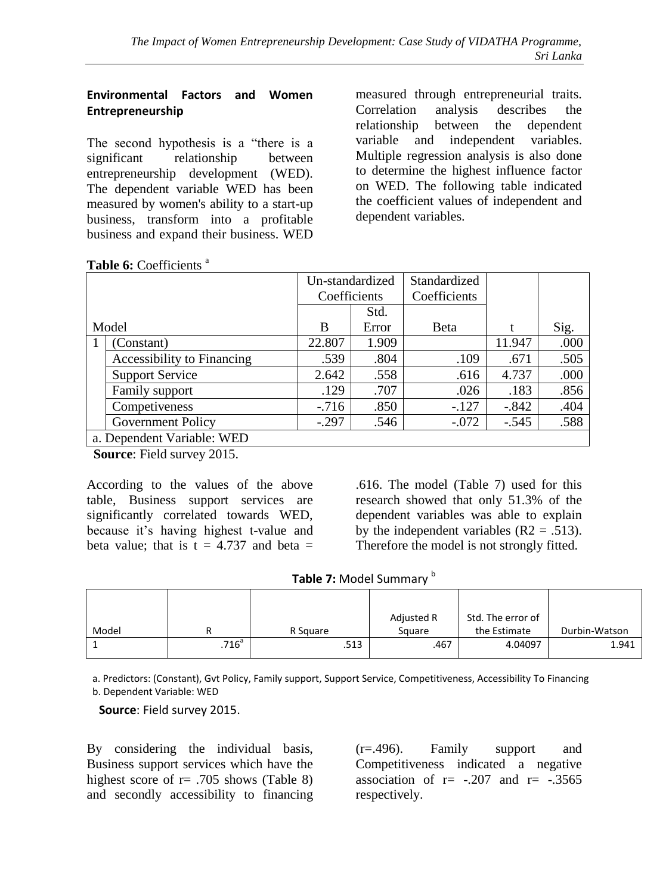## **Environmental Factors and Women Entrepreneurship**

The second hypothesis is a "there is a significant relationship between entrepreneurship development (WED). The dependent variable WED has been measured by women's ability to a start-up business, transform into a profitable business and expand their business. WED

measured through entrepreneurial traits. Correlation analysis describes the relationship between the dependent variable and independent variables. Multiple regression analysis is also done to determine the highest influence factor on WED. The following table indicated the coefficient values of independent and dependent variables.

Table 6: Coefficients<sup>a</sup>

|                            |                            | Un-standardized |       | Standardized |         |      |
|----------------------------|----------------------------|-----------------|-------|--------------|---------|------|
|                            |                            | Coefficients    |       | Coefficients |         |      |
|                            |                            |                 | Std.  |              |         |      |
| Model                      |                            | B               | Error | <b>B</b> eta | t       | Sig. |
|                            | (Constant)                 | 22.807          | 1.909 |              | 11.947  | .000 |
|                            | Accessibility to Financing | .539            | .804  | .109         | .671    | .505 |
|                            | <b>Support Service</b>     | 2.642           | .558  | .616         | 4.737   | .000 |
|                            | Family support             | .129            | .707  | .026         | .183    | .856 |
|                            | Competiveness              | $-716$          | .850  | $-.127$      | $-.842$ | .404 |
|                            | Government Policy          | $-.297$         | .546  | $-.072$      | $-.545$ | .588 |
| a. Dependent Variable: WED |                            |                 |       |              |         |      |

**Source**: Field survey 2015.

According to the values of the above table, Business support services are significantly correlated towards WED, because it's having highest t-value and beta value; that is  $t = 4.737$  and beta  $=$ 

.616. The model (Table 7) used for this research showed that only 51.3% of the dependent variables was able to explain by the independent variables  $(R2 = .513)$ . Therefore the model is not strongly fitted.

| Table 7: Model Summary b |
|--------------------------|
|--------------------------|

|       |                     |          | Adjusted R | Std. The error of |               |
|-------|---------------------|----------|------------|-------------------|---------------|
| Model |                     | R Square | Square     | the Estimate      | Durbin-Watson |
|       | $.716$ <sup>a</sup> | .513     | .467       | 4.04097           | 1.941         |

a. Predictors: (Constant), Gvt Policy, Family support, Support Service, Competitiveness, Accessibility To Financing b. Dependent Variable: WED

**Source**: Field survey 2015.

By considering the individual basis, Business support services which have the highest score of  $r = .705$  shows (Table 8) and secondly accessibility to financing (r=.496). Family support and Competitiveness indicated a negative association of  $r = -.207$  and  $r = -.3565$ respectively.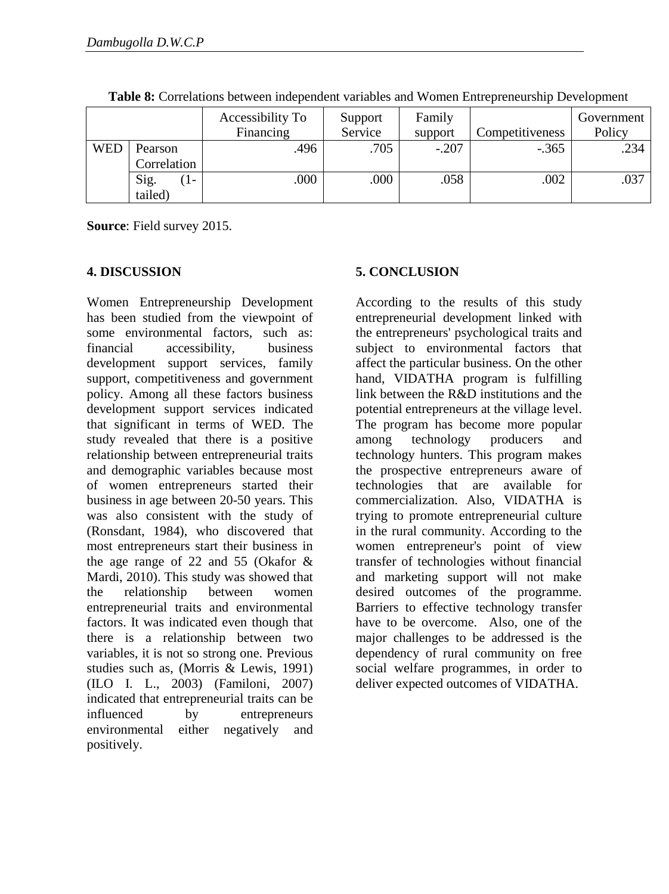|            |              | Accessibility To<br>Financing | Support<br>Service | Family<br>support | Competitiveness | Government<br>Policy |
|------------|--------------|-------------------------------|--------------------|-------------------|-----------------|----------------------|
| <b>WED</b> | Pearson      | .496                          | .705               | $-.207$           | $-.365$         | .234                 |
|            | Correlation  |                               |                    |                   |                 |                      |
|            | Sig.<br>$1-$ | .000                          | .000               | .058              | .002            | .037                 |
|            | tailed)      |                               |                    |                   |                 |                      |

**Table 8:** Correlations between independent variables and Women Entrepreneurship Development

**Source**: Field survey 2015.

#### **4. DISCUSSION**

Women Entrepreneurship Development has been studied from the viewpoint of some environmental factors, such as: financial accessibility, business development support services, family support, competitiveness and government policy. Among all these factors business development support services indicated that significant in terms of WED. The study revealed that there is a positive relationship between entrepreneurial traits and demographic variables because most of women entrepreneurs started their business in age between 20-50 years. This was also consistent with the study of (Ronsdant, 1984), who discovered that most entrepreneurs start their business in the age range of 22 and 55 (Okafor & Mardi, 2010). This study was showed that the relationship between women entrepreneurial traits and environmental factors. It was indicated even though that there is a relationship between two variables, it is not so strong one. Previous studies such as, (Morris  $\tilde{\&}$  Lewis, 1991) (ILO I. L., 2003) (Familoni, 2007) indicated that entrepreneurial traits can be influenced by entrepreneurs environmental either negatively and positively.

# **5. CONCLUSION**

According to the results of this study entrepreneurial development linked with the entrepreneurs' psychological traits and subject to environmental factors that affect the particular business. On the other hand, VIDATHA program is fulfilling link between the R&D institutions and the potential entrepreneurs at the village level. The program has become more popular<br>among technology producers and among technology producers and technology hunters. This program makes the prospective entrepreneurs aware of technologies that are available for commercialization. Also, VIDATHA is trying to promote entrepreneurial culture in the rural community. According to the women entrepreneur's point of view transfer of technologies without financial and marketing support will not make desired outcomes of the programme. Barriers to effective technology transfer have to be overcome. Also, one of the major challenges to be addressed is the dependency of rural community on free social welfare programmes, in order to deliver expected outcomes of VIDATHA.